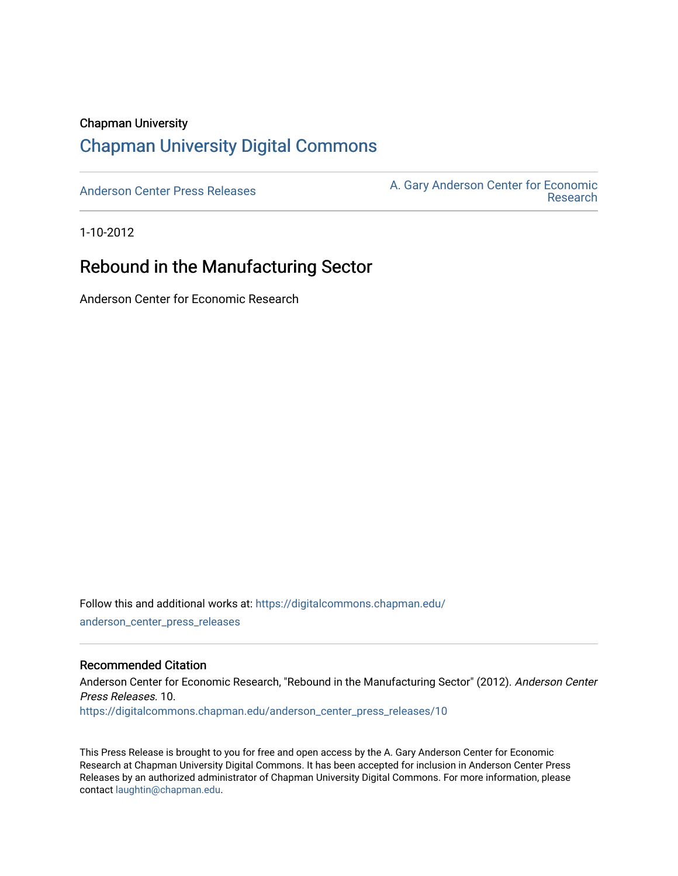#### Chapman University

# [Chapman University Digital Commons](https://digitalcommons.chapman.edu/)

[Anderson Center Press Releases](https://digitalcommons.chapman.edu/anderson_center_press_releases) Anderson Center for Economic A. Gary Anderson Center for Economic [Research](https://digitalcommons.chapman.edu/anderson_center) 

1-10-2012

## Rebound in the Manufacturing Sector

Anderson Center for Economic Research

Follow this and additional works at: [https://digitalcommons.chapman.edu/](https://digitalcommons.chapman.edu/anderson_center_press_releases?utm_source=digitalcommons.chapman.edu%2Fanderson_center_press_releases%2F10&utm_medium=PDF&utm_campaign=PDFCoverPages) [anderson\\_center\\_press\\_releases](https://digitalcommons.chapman.edu/anderson_center_press_releases?utm_source=digitalcommons.chapman.edu%2Fanderson_center_press_releases%2F10&utm_medium=PDF&utm_campaign=PDFCoverPages)

#### Recommended Citation

Anderson Center for Economic Research, "Rebound in the Manufacturing Sector" (2012). Anderson Center Press Releases. 10. [https://digitalcommons.chapman.edu/anderson\\_center\\_press\\_releases/10](https://digitalcommons.chapman.edu/anderson_center_press_releases/10?utm_source=digitalcommons.chapman.edu%2Fanderson_center_press_releases%2F10&utm_medium=PDF&utm_campaign=PDFCoverPages)

This Press Release is brought to you for free and open access by the A. Gary Anderson Center for Economic Research at Chapman University Digital Commons. It has been accepted for inclusion in Anderson Center Press Releases by an authorized administrator of Chapman University Digital Commons. For more information, please contact [laughtin@chapman.edu](mailto:laughtin@chapman.edu).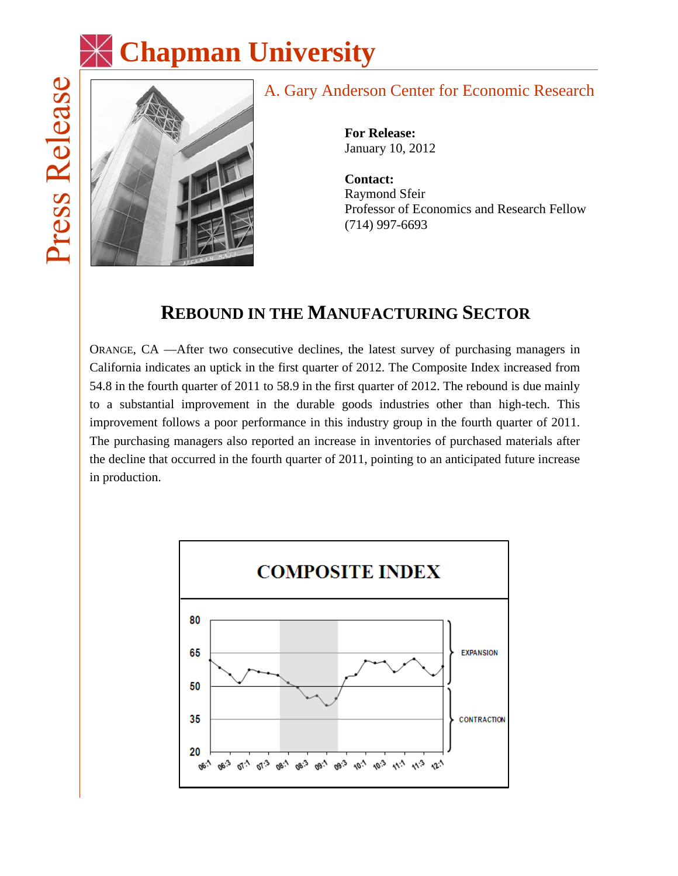



# A. Gary Anderson Center for Economic Research

**For Release:** January 10, 2012

**Contact:** Raymond Sfeir Professor of Economics and Research Fellow (714) 997-6693

# **REBOUND IN THE MANUFACTURING SECTOR**

ORANGE, CA —After two consecutive declines, the latest survey of purchasing managers in California indicates an uptick in the first quarter of 2012. The Composite Index increased from 54.8 in the fourth quarter of 2011 to 58.9 in the first quarter of 2012. The rebound is due mainly to a substantial improvement in the durable goods industries other than high-tech. This improvement follows a poor performance in this industry group in the fourth quarter of 2011. The purchasing managers also reported an increase in inventories of purchased materials after the decline that occurred in the fourth quarter of 2011, pointing to an anticipated future increase in production.

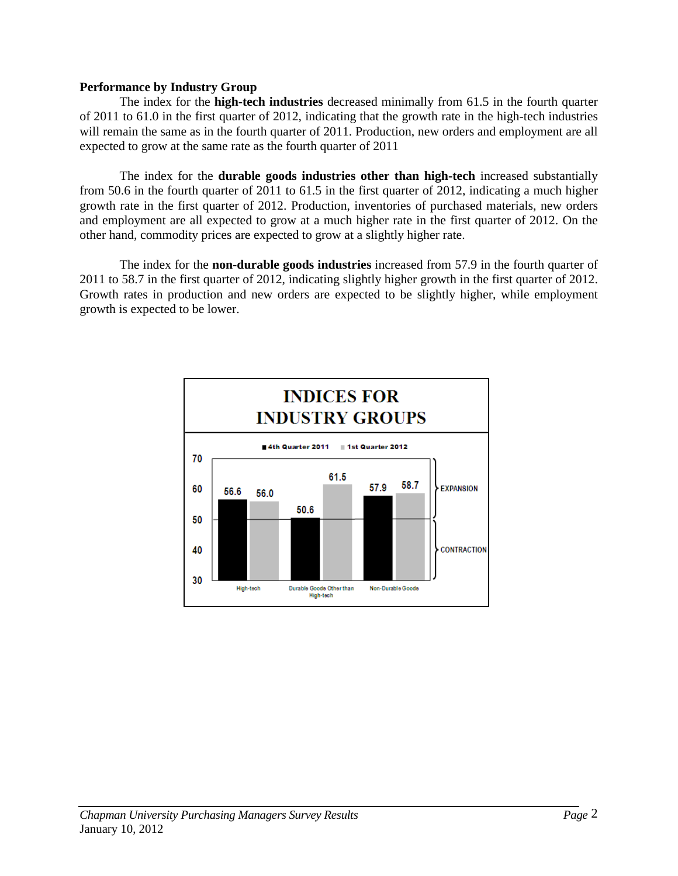#### **Performance by Industry Group**

The index for the **high-tech industries** decreased minimally from 61.5 in the fourth quarter of 2011 to 61.0 in the first quarter of 2012, indicating that the growth rate in the high-tech industries will remain the same as in the fourth quarter of 2011. Production, new orders and employment are all expected to grow at the same rate as the fourth quarter of 2011

The index for the **durable goods industries other than high-tech** increased substantially from 50.6 in the fourth quarter of 2011 to 61.5 in the first quarter of 2012, indicating a much higher growth rate in the first quarter of 2012. Production, inventories of purchased materials, new orders and employment are all expected to grow at a much higher rate in the first quarter of 2012. On the other hand, commodity prices are expected to grow at a slightly higher rate.

The index for the **non-durable goods industries** increased from 57.9 in the fourth quarter of 2011 to 58.7 in the first quarter of 2012, indicating slightly higher growth in the first quarter of 2012. Growth rates in production and new orders are expected to be slightly higher, while employment growth is expected to be lower.

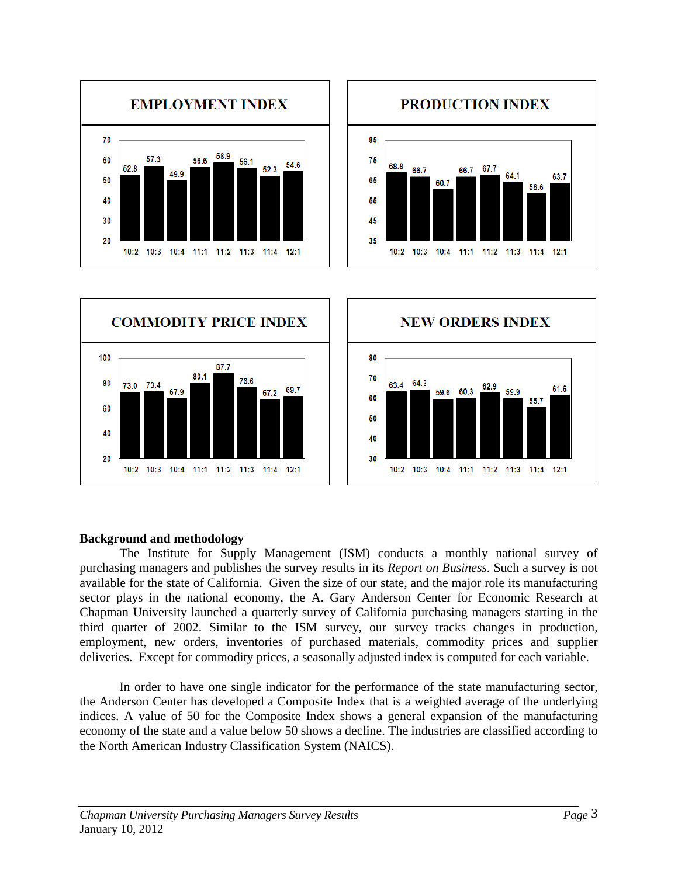







### **Background and methodology**

The Institute for Supply Management (ISM) conducts a monthly national survey of purchasing managers and publishes the survey results in its *Report on Business*. Such a survey is not available for the state of California. Given the size of our state, and the major role its manufacturing sector plays in the national economy, the A. Gary Anderson Center for Economic Research at Chapman University launched a quarterly survey of California purchasing managers starting in the third quarter of 2002. Similar to the ISM survey, our survey tracks changes in production, employment, new orders, inventories of purchased materials, commodity prices and supplier deliveries. Except for commodity prices, a seasonally adjusted index is computed for each variable.

In order to have one single indicator for the performance of the state manufacturing sector, the Anderson Center has developed a Composite Index that is a weighted average of the underlying indices. A value of 50 for the Composite Index shows a general expansion of the manufacturing economy of the state and a value below 50 shows a decline. The industries are classified according to the North American Industry Classification System (NAICS).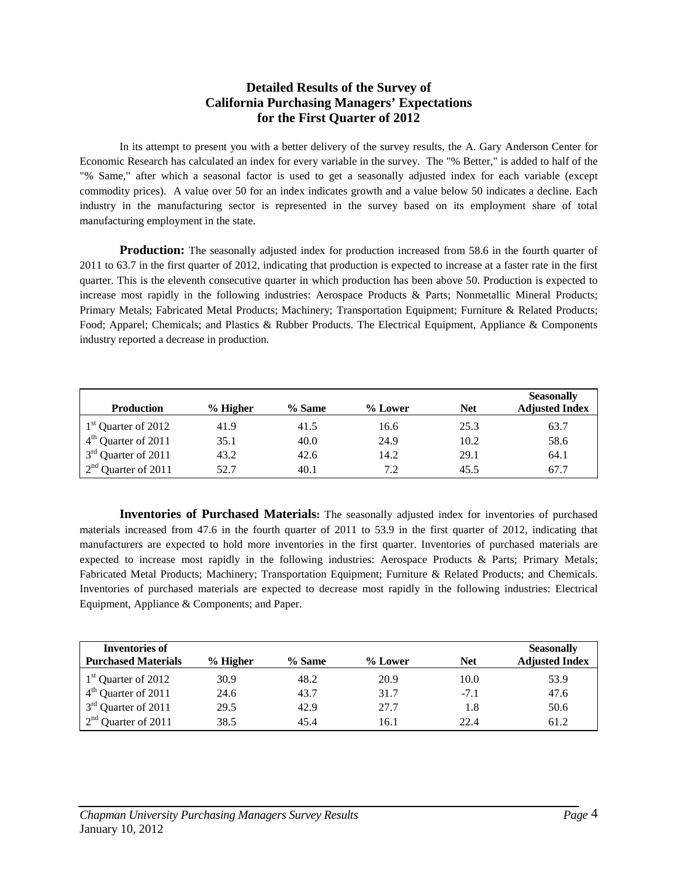#### **Detailed Results of the Survey of California Purchasing Managers' Expectations for the First Quarter of 2012**

In its attempt to present you with a better delivery of the survey results, the A. Gary Anderson Center for Economic Research has calculated an index for every variable in the survey. The "% Better," is added to half of the "% Same," after which a seasonal factor is used to get a seasonally adjusted index for each variable (except commodity prices). A value over 50 for an index indicates growth and a value below 50 indicates a decline. Each industry in the manufacturing sector is represented in the survey based on its employment share of total manufacturing employment in the state.

**Production:** The seasonally adjusted index for production increased from 58.6 in the fourth quarter of 2011 to 63.7 in the first quarter of 2012, indicating that production is expected to increase at a faster rate in the first quarter. This is the eleventh consecutive quarter in which production has been above 50. Production is expected to increase most rapidly in the following industries: Aerospace Products & Parts; Nonmetallic Mineral Products; Primary Metals; Fabricated Metal Products; Machinery; Transportation Equipment; Furniture & Related Products; Food; Apparel; Chemicals; and Plastics & Rubber Products. The Electrical Equipment, Appliance & Components industry reported a decrease in production.

| <b>Production</b>               | $%$ Higher | % Same | % Lower | <b>Net</b> | <b>Seasonally</b><br><b>Adjusted Index</b> |
|---------------------------------|------------|--------|---------|------------|--------------------------------------------|
| 1 <sup>st</sup> Quarter of 2012 | 41.9       | 41.5   | 16.6    | 25.3       | 63.7                                       |
| $4th$ Quarter of 2011           | 35.1       | 40.0   | 24.9    | 10.2       | 58.6                                       |
| 3 <sup>rd</sup> Quarter of 2011 | 43.2       | 42.6   | 14.2    | 29.1       | 64.1                                       |
| $2nd$ Quarter of 2011           | 52.7       | 40.1   | 7.2     | 45.5       | 67.7                                       |

**Inventories of Purchased Materials:** The seasonally adjusted index for inventories of purchased materials increased from 47.6 in the fourth quarter of 2011 to 53.9 in the first quarter of 2012, indicating that manufacturers are expected to hold more inventories in the first quarter. Inventories of purchased materials are expected to increase most rapidly in the following industries: Aerospace Products & Parts; Primary Metals; Fabricated Metal Products; Machinery; Transportation Equipment; Furniture & Related Products; and Chemicals. Inventories of purchased materials are expected to decrease most rapidly in the following industries: Electrical Equipment, Appliance & Components; and Paper.

| <b>Inventories of</b><br><b>Purchased Materials</b> | $%$ Higher | % Same | % Lower | <b>Net</b> | <b>Seasonally</b><br><b>Adjusted Index</b> |
|-----------------------------------------------------|------------|--------|---------|------------|--------------------------------------------|
|                                                     |            |        |         |            |                                            |
| 1 <sup>st</sup> Quarter of 2012                     | 30.9       | 48.2   | 20.9    | 10.0       | 53.9                                       |
| $4th$ Quarter of 2011                               | 24.6       | 43.7   | 31.7    | $-7.1$     | 47.6                                       |
| 3 <sup>rd</sup> Quarter of 2011                     | 29.5       | 42.9   | 27.7    | 1.8        | 50.6                                       |
| $2nd$ Quarter of 2011                               | 38.5       | 45.4   | 16.1    | 22.4       | 61.2                                       |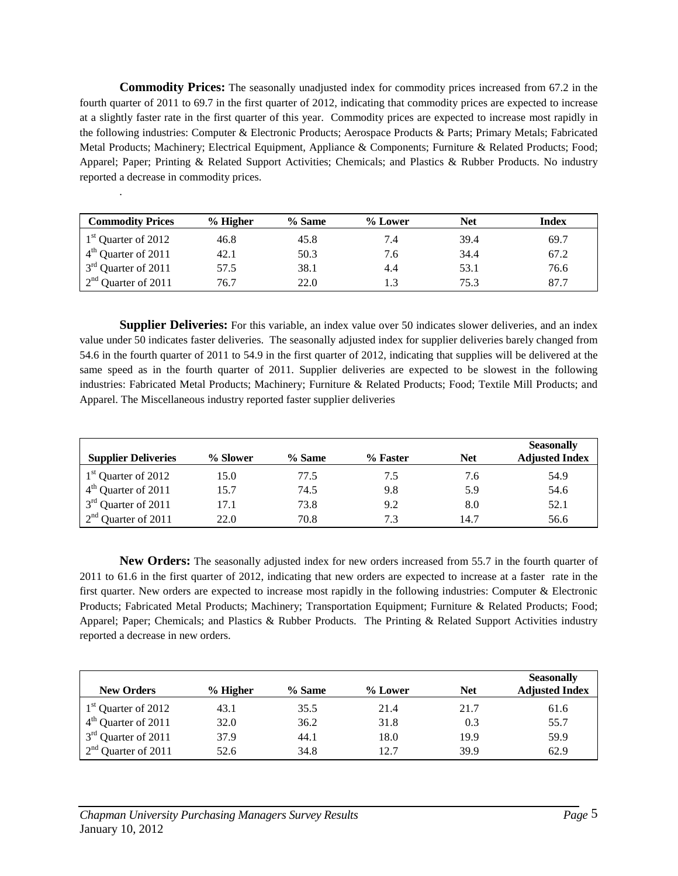**Commodity Prices:** The seasonally unadjusted index for commodity prices increased from 67.2 in the fourth quarter of 2011 to 69.7 in the first quarter of 2012, indicating that commodity prices are expected to increase at a slightly faster rate in the first quarter of this year. Commodity prices are expected to increase most rapidly in the following industries: Computer & Electronic Products; Aerospace Products & Parts; Primary Metals; Fabricated Metal Products; Machinery; Electrical Equipment, Appliance & Components; Furniture & Related Products; Food; Apparel; Paper; Printing & Related Support Activities; Chemicals; and Plastics & Rubber Products. No industry reported a decrease in commodity prices.

| <b>Commodity Prices</b> | $%$ Higher | % Same | % Lower | <b>Net</b> | Index |
|-------------------------|------------|--------|---------|------------|-------|
| $1st$ Quarter of 2012   | 46.8       | 45.8   | 7.4     | 39.4       | 69.7  |
| $4th$ Quarter of 2011   | 42.1       | 50.3   | 7.6     | 34.4       | 67.2  |
| $3rd$ Quarter of 2011   | 57.5       | 38.1   | 4.4     | 53.1       | 76.6  |
| $2nd$ Quarter of 2011   | 76.7       | 22.0   |         | 75.3       | 87.7  |

**Supplier Deliveries:** For this variable, an index value over 50 indicates slower deliveries, and an index value under 50 indicates faster deliveries. The seasonally adjusted index for supplier deliveries barely changed from 54.6 in the fourth quarter of 2011 to 54.9 in the first quarter of 2012, indicating that supplies will be delivered at the same speed as in the fourth quarter of 2011. Supplier deliveries are expected to be slowest in the following industries: Fabricated Metal Products; Machinery; Furniture & Related Products; Food; Textile Mill Products; and Apparel. The Miscellaneous industry reported faster supplier deliveries

| <b>Supplier Deliveries</b> | % Slower | $%$ Same | % Faster | <b>Net</b> | <b>Seasonally</b><br><b>Adjusted Index</b> |
|----------------------------|----------|----------|----------|------------|--------------------------------------------|
| $1st$ Quarter of 2012      | 15.0     | 77.5     | 7.5      | 7.6        | 54.9                                       |
| $4th$ Quarter of 2011      | 15.7     | 74.5     | 9.8      | 5.9        | 54.6                                       |
| $3rd$ Quarter of 2011      | 17.1     | 73.8     | 9.2      | 8.0        | 52.1                                       |
| $2nd$ Quarter of 2011      | 22.0     | 70.8     | 7.3      | 14.7       | 56.6                                       |

**New Orders:** The seasonally adjusted index for new orders increased from 55.7 in the fourth quarter of 2011 to 61.6 in the first quarter of 2012, indicating that new orders are expected to increase at a faster rate in the first quarter. New orders are expected to increase most rapidly in the following industries: Computer & Electronic Products; Fabricated Metal Products; Machinery; Transportation Equipment; Furniture & Related Products; Food; Apparel; Paper; Chemicals; and Plastics & Rubber Products. The Printing & Related Support Activities industry reported a decrease in new orders.

| <b>New Orders</b>               | $%$ Higher | $%$ Same | % Lower | <b>Net</b> | <b>Seasonally</b><br><b>Adjusted Index</b> |
|---------------------------------|------------|----------|---------|------------|--------------------------------------------|
| 1 <sup>st</sup> Quarter of 2012 | 43.1       | 35.5     | 21.4    | 21.7       | 61.6                                       |
| $4th$ Quarter of 2011           | 32.0       | 36.2     | 31.8    | 0.3        | 55.7                                       |
| $3rd$ Quarter of 2011           | 37.9       | 44.1     | 18.0    | 19.9       | 59.9                                       |
| $2nd$ Quarter of 2011           | 52.6       | 34.8     | 12.7    | 39.9       | 62.9                                       |

.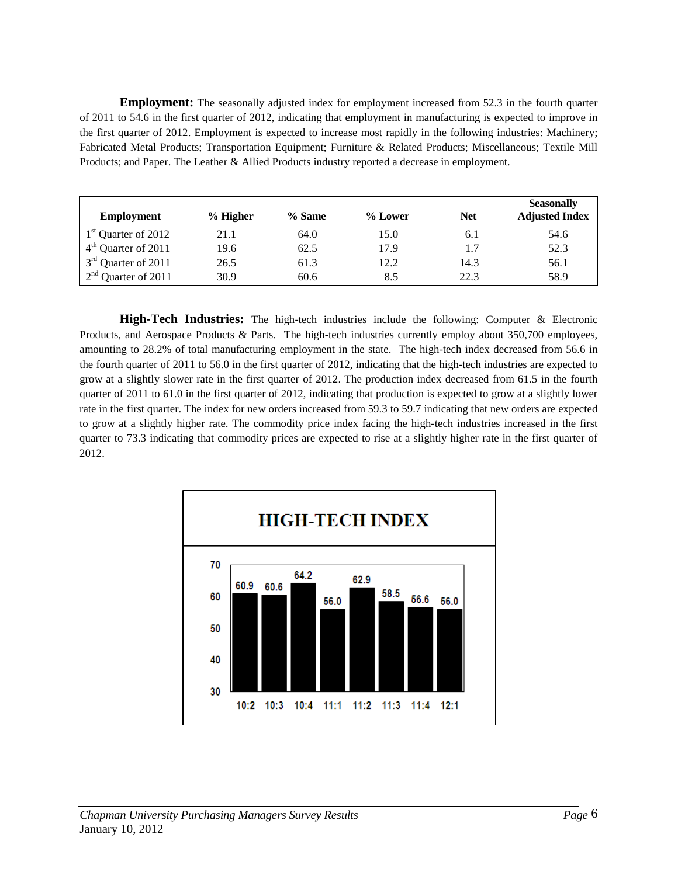**Employment:** The seasonally adjusted index for employment increased from 52.3 in the fourth quarter of 2011 to 54.6 in the first quarter of 2012, indicating that employment in manufacturing is expected to improve in the first quarter of 2012. Employment is expected to increase most rapidly in the following industries: Machinery; Fabricated Metal Products; Transportation Equipment; Furniture & Related Products; Miscellaneous; Textile Mill Products; and Paper. The Leather & Allied Products industry reported a decrease in employment.

| Employment                      | $%$ Higher | % Same | % Lower | <b>Net</b> | <b>Seasonally</b><br><b>Adjusted Index</b> |
|---------------------------------|------------|--------|---------|------------|--------------------------------------------|
| 1 <sup>st</sup> Quarter of 2012 | 21.1       | 64.0   | 15.0    | 6.1        | 54.6                                       |
| $4th$ Quarter of 2011           | 19.6       | 62.5   | 17.9    | 1.7        | 52.3                                       |
| $3rd$ Quarter of 2011           | 26.5       | 61.3   | 12.2    | 14.3       | 56.1                                       |
| $2nd$ Quarter of 2011           | 30.9       | 60.6   | 8.5     | 22.3       | 58.9                                       |

**High-Tech Industries:** The high-tech industries include the following: Computer & Electronic Products, and Aerospace Products & Parts. The high-tech industries currently employ about 350,700 employees, amounting to 28.2% of total manufacturing employment in the state. The high-tech index decreased from 56.6 in the fourth quarter of 2011 to 56.0 in the first quarter of 2012, indicating that the high-tech industries are expected to grow at a slightly slower rate in the first quarter of 2012. The production index decreased from 61.5 in the fourth quarter of 2011 to 61.0 in the first quarter of 2012, indicating that production is expected to grow at a slightly lower rate in the first quarter. The index for new orders increased from 59.3 to 59.7 indicating that new orders are expected to grow at a slightly higher rate. The commodity price index facing the high-tech industries increased in the first quarter to 73.3 indicating that commodity prices are expected to rise at a slightly higher rate in the first quarter of 2012.

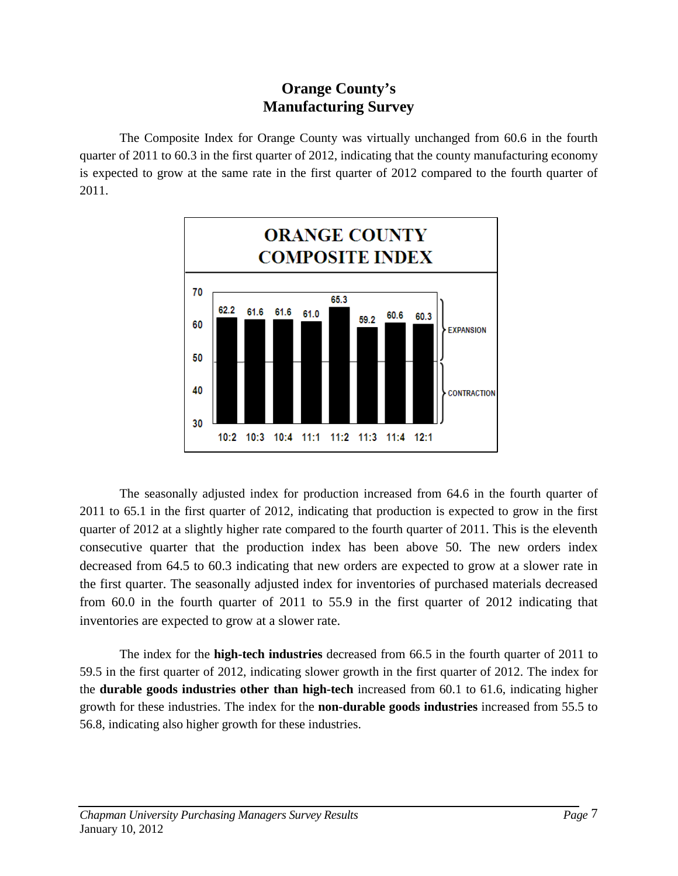## **Orange County's Manufacturing Survey**

The Composite Index for Orange County was virtually unchanged from 60.6 in the fourth quarter of 2011 to 60.3 in the first quarter of 2012, indicating that the county manufacturing economy is expected to grow at the same rate in the first quarter of 2012 compared to the fourth quarter of 2011.



The seasonally adjusted index for production increased from 64.6 in the fourth quarter of 2011 to 65.1 in the first quarter of 2012, indicating that production is expected to grow in the first quarter of 2012 at a slightly higher rate compared to the fourth quarter of 2011. This is the eleventh consecutive quarter that the production index has been above 50. The new orders index decreased from 64.5 to 60.3 indicating that new orders are expected to grow at a slower rate in the first quarter. The seasonally adjusted index for inventories of purchased materials decreased from 60.0 in the fourth quarter of 2011 to 55.9 in the first quarter of 2012 indicating that inventories are expected to grow at a slower rate.

The index for the **high-tech industries** decreased from 66.5 in the fourth quarter of 2011 to 59.5 in the first quarter of 2012, indicating slower growth in the first quarter of 2012. The index for the **durable goods industries other than high-tech** increased from 60.1 to 61.6, indicating higher growth for these industries. The index for the **non-durable goods industries** increased from 55.5 to 56.8, indicating also higher growth for these industries.